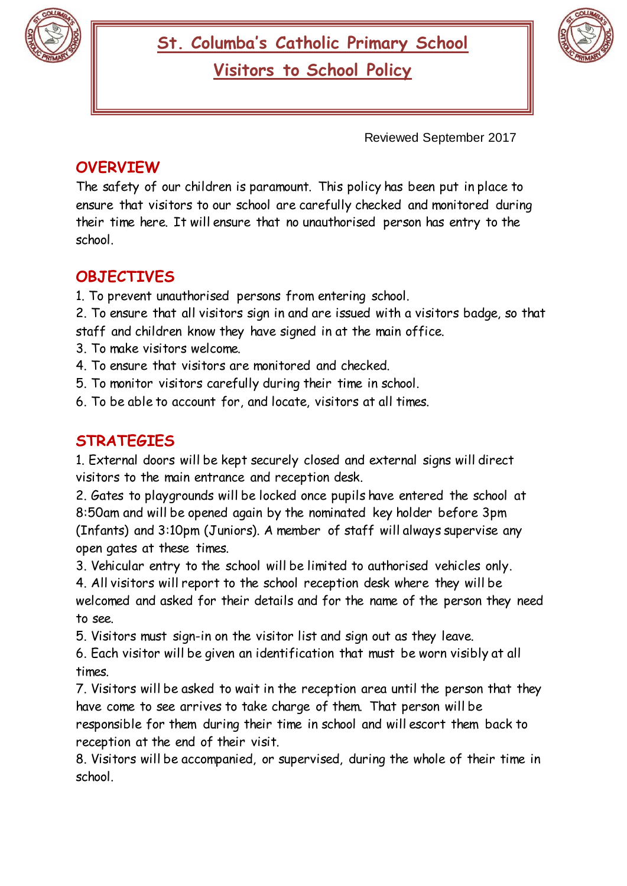



Reviewed September 2017

## **OVERVIEW**

The safety of our children is paramount. This policy has been put in place to ensure that visitors to our school are carefully checked and monitored during their time here. It will ensure that no unauthorised person has entry to the school.

## **OBJECTIVES**

1. To prevent unauthorised persons from entering school.

2. To ensure that all visitors sign in and are issued with a visitors badge, so that staff and children know they have signed in at the main office.

- 3. To make visitors welcome.
- 4. To ensure that visitors are monitored and checked.
- 5. To monitor visitors carefully during their time in school.
- 6. To be able to account for, and locate, visitors at all times.

## **STRATEGIES**

1. External doors will be kept securely closed and external signs will direct visitors to the main entrance and reception desk.

2. Gates to playgrounds will be locked once pupils have entered the school at 8:50am and will be opened again by the nominated key holder before 3pm (Infants) and 3:10pm (Juniors). A member of staff will always supervise any open gates at these times.

3. Vehicular entry to the school will be limited to authorised vehicles only.

4. All visitors will report to the school reception desk where they will be welcomed and asked for their details and for the name of the person they need to see.

5. Visitors must sign-in on the visitor list and sign out as they leave.

6. Each visitor will be given an identification that must be worn visibly at all times.

7. Visitors will be asked to wait in the reception area until the person that they have come to see arrives to take charge of them. That person will be responsible for them during their time in school and will escort them back to reception at the end of their visit.

8. Visitors will be accompanied, or supervised, during the whole of their time in school.